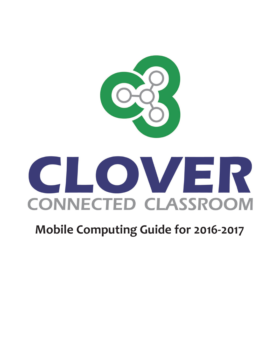

# **Mobile Computing Guide for 2016-2017**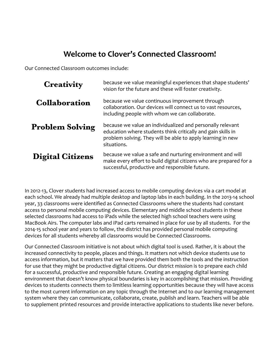# **Welcome to Clover's Connected Classroom!**

Our Connected Classroom outcomes include:

| <b>Creativity</b>       | because we value meaningful experiences that shape students'<br>vision for the future and these will foster creativity.                                                                                  |
|-------------------------|----------------------------------------------------------------------------------------------------------------------------------------------------------------------------------------------------------|
| <b>Collaboration</b>    | because we value continuous improvement through<br>collaboration. Our devices will connect us to vast resources,<br>including people with whom we can collaborate.                                       |
| <b>Problem Solving</b>  | because we value an individualized and personally relevant<br>education where students think critically and gain skills in<br>problem solving. They will be able to apply learning in new<br>situations. |
| <b>Digital Citizens</b> | because we value a safe and nurturing environment and will<br>make every effort to build digital citizens who are prepared for a<br>successful, productive and responsible future.                       |

In 2012-13, Clover students had increased access to mobile computing devices via a cart model at each school. We already had multiple desktop and laptop labs in each building. In the 2013-14 school year, 33 classrooms were identified as Connected Classrooms where the students had constant access to personal mobile computing devices. Elementary and middle school students in these selected classrooms had access to iPads while the selected high school teachers were using MacBook Airs. The computer labs and iPad carts remained in place for use by all students. For the 2014-15 school year and years to follow, the district has provided personal mobile computing devices for all students whereby all classrooms would be Connected Classrooms.

Our Connected Classroom initiative is not about which digital tool is used. Rather, it is about the increased connectivity to people, places and things. It matters not which device students use to access information, but it matters that we have provided them both the tools and the instruction for use that they might be productive digital citizens. Our district mission is to prepare each child for a successful, productive and responsible future. Creating an engaging digital learning environment that doesn't know physical boundaries is key in accomplishing that mission. Providing devices to students connects them to limitless learning opportunities because they will have access to the most current information on any topic through the Internet and to our learning management system where they can communicate, collaborate, create, publish and learn. Teachers will be able to supplement printed resources and provide interactive applications to students like never before.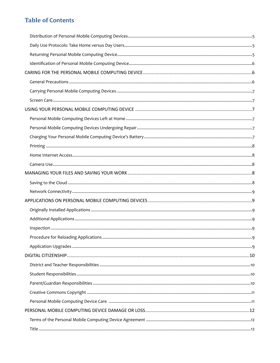# **Table of Contents**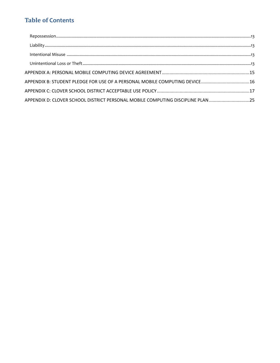# **Table of Contents**

| APPENDIX B: STUDENT PLEDGE FOR USE OF A PERSONAL MOBILE COMPUTING DEVICE16     |
|--------------------------------------------------------------------------------|
|                                                                                |
| APPENDIX D: CLOVER SCHOOL DISTRICT PERSONAL MOBILE COMPUTING DISCIPLINE PLAN25 |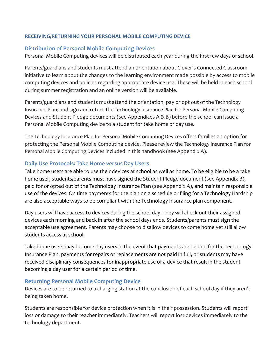#### **RECEIVING/RETURNING YOUR PERSONAL MOBILE COMPUTING DEVICE**

#### **Distribution of Personal Mobile Computing Devices**

Personal Mobile Computing devices will be distributed each year during the first few days of school.

Parents/guardians and students must attend an orientation about Clover's Connected Classroom initiative to learn about the changes to the learning environment made possible by access to mobile computing devices and policies regarding appropriate device use. These will be held in each school during summer registration and an online version will be available.

Parents/guardians and students must attend the orientation; pay or opt out of the Technology Insurance Plan; and sign and return the Technology Insurance Plan for Personal Mobile Computing Devices and Student Pledge documents (see Appendices A & B) before the school can issue a Personal Mobile Computing device to a student for take home or day use.

The Technology Insurance Plan for Personal Mobile Computing Devices offers families an option for protecting the Personal Mobile Computing device. Please review the Technology Insurance Plan for Personal Mobile Computing Devices included in this handbook (see Appendix A).

#### **Daily Use Protocols: Take Home versus Day Users**

Take home users are able to use their devices at school as well as home. To be eligible to be a take home user, students/parents must have signed the Student Pledge document (see Appendix B), paid for or opted out of the Technology Insurance Plan (see Appendix A), and maintain responsible use of the devices. On time payments for the plan on a schedule or filing for a Technology Hardship are also acceptable ways to be compliant with the Technology Insurance plan component.

Day users will have access to devices during the school day. They will check out their assigned devices each morning and back in after the school days ends. Students/parents must sign the acceptable use agreement. Parents may choose to disallow devices to come home yet still allow students access at school.

Take home users may become day users in the event that payments are behind for the Technology Insurance Plan, payments for repairs or replacements are not paid in full, or students may have received disciplinary consequences for inappropriate use of a device that result in the student becoming a day user for a certain period of time.

#### **Returning Personal Mobile Computing Device**

Devices are to be returned to a charging station at the conclusion of each school day if they aren't being taken home.

Students are responsible for device protection when it is in their possession. Students will report loss or damage to their teacher immediately. Teachers will report lost devices immediately to the technology department.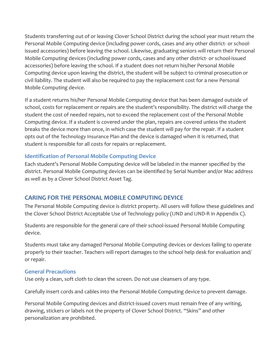Students transferring out of or leaving Clover School District during the school year must return the Personal Mobile Computing device (including power cords, cases and any other district- or schoolissued accessories) before leaving the school. Likewise, graduating seniors will return their Personal Mobile Computing devices (including power cords, cases and any other district- or school-issued accessories) before leaving the school. If a student does not return his/her Personal Mobile Computing device upon leaving the district, the student will be subject to criminal prosecution or civil liability. The student will also be required to pay the replacement cost for a new Personal Mobile Computing device.

If a student returns his/her Personal Mobile Computing device that has been damaged outside of school, costs for replacement or repairs are the student's responsibility. The district will charge the student the cost of needed repairs, not to exceed the replacement cost of the Personal Mobile Computing device. If a student is covered under the plan, repairs are covered unless the student breaks the device more than once, in which case the student will pay for the repair. If a student opts out of the Technology Insurance Plan and the device is damaged when it is returned, that student is responsible for all costs for repairs or replacement.

# **Identification of Personal Mobile Computing Device**

Each student's Personal Mobile Computing device will be labeled in the manner specified by the district. Personal Mobile Computing devices can be identified by Serial Number and/or Mac address as well as by a Clover School District Asset Tag.

# **CARING FOR THE PERSONAL MOBILE COMPUTING DEVICE**

The Personal Mobile Computing device is district property. All users will follow these guidelines and the Clover School District Acceptable Use of Technology policy (IJND and IJND-R in Appendix C).

Students are responsible for the general care of their school-issued Personal Mobile Computing device. 

Students must take any damaged Personal Mobile Computing devices or devices failing to operate properly to their teacher. Teachers will report damages to the school help desk for evaluation and/ or repair.

#### **General Precautions**

Use only a clean, soft cloth to clean the screen. Do not use cleansers of any type.

Carefully insert cords and cables into the Personal Mobile Computing device to prevent damage.

Personal Mobile Computing devices and district-issued covers must remain free of any writing, drawing, stickers or labels not the property of Clover School District. "Skins" and other personalization are prohibited.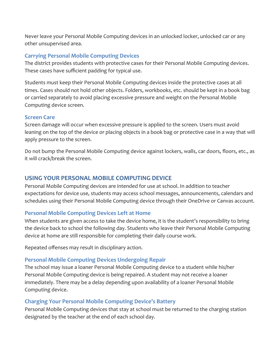Never leave your Personal Mobile Computing devices in an unlocked locker, unlocked car or any other unsupervised area.

### **Carrying Personal Mobile Computing Devices**

The district provides students with protective cases for their Personal Mobile Computing devices. These cases have sufficient padding for typical use.

Students must keep their Personal Mobile Computing devices inside the protective cases at all times. Cases should not hold other objects. Folders, workbooks, etc. should be kept in a book bag or carried separately to avoid placing excessive pressure and weight on the Personal Mobile Computing device screen.

#### **Screen Care**

Screen damage will occur when excessive pressure is applied to the screen. Users must avoid leaning on the top of the device or placing objects in a book bag or protective case in a way that will apply pressure to the screen.

Do not bump the Personal Mobile Computing device against lockers, walls, car doors, floors, etc., as it will crack/break the screen.

# **USING YOUR PERSONAL MOBILE COMPUTING DEVICE**

Personal Mobile Computing devices are intended for use at school. In addition to teacher expectations for device use, students may access school messages, announcements, calendars and schedules using their Personal Mobile Computing device through their OneDrive or Canvas account.

#### **Personal Mobile Computing Devices Left at Home**

When students are given access to take the device home, it is the student's responsibility to bring the device back to school the following day. Students who leave their Personal Mobile Computing device at home are still responsible for completing their daily course work.

Repeated offenses may result in disciplinary action.

# **Personal Mobile Computing Devices Undergoing Repair**

The school may issue a loaner Personal Mobile Computing device to a student while his/her Personal Mobile Computing device is being repaired. A student may not receive a loaner immediately. There may be a delay depending upon availability of a loaner Personal Mobile Computing device.

#### **Charging Your Personal Mobile Computing Device's Battery**

Personal Mobile Computing devices that stay at school must be returned to the charging station designated by the teacher at the end of each school day.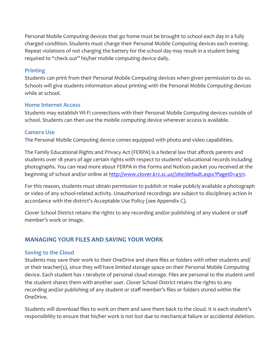Personal Mobile Computing devices that go home must be brought to school each day in a fully charged condition. Students must charge their Personal Mobile Computing devices each evening. Repeat violations of not charging the battery for the school day may result in a student being required to "check out" his/her mobile computing device daily.

#### **Printing**

Students can print from their Personal Mobile Computing devices when given permission to do so. Schools will give students information about printing with the Personal Mobile Computing devices while at school.

#### **Home Internet Access**

Students may establish Wi-Fi connections with their Personal Mobile Computing devices outside of school. Students can then use the mobile computing device wherever access is available.

#### **Camera Use**

The Personal Mobile Computing device comes equipped with photo and video capabilities.

The Family Educational Rights and Privacy Act (FERPA) is a federal law that affords parents and students over 18 years of age certain rights with respect to students' educational records including photographs. You can read more about FERPA in the Forms and Notices packet you received at the beginning of school and/or online at [http://www.clover.k12.sc.us//site/default.aspx?PageID=4311.](http://www.clover.k12.sc.us//site/default.aspx?PageID=4311)

For this reason, students must obtain permission to publish or make publicly available a photograph or video of any school-related activity. Unauthorized recordings are subject to disciplinary action in accordance with the district's Acceptable Use Policy (see Appendix C).

Clover School District retains the rights to any recording and/or publishing of any student or staff member's work or image.

# **MANAGING YOUR FILES AND SAVING YOUR WORK**

#### **Saving to the Cloud**

Students may save their work to their OneDrive and share files or folders with other students and/ or their teacher(s), since they will have limited storage space on their Personal Mobile Computing device. Each student has 1 terabyte of personal cloud storage. Files are personal to the student until the student shares them with another user. Clover School District retains the rights to any recording and/or publishing of any student or staff member's files or folders stored within the OneDrive.

Students will download files to work on them and save them back to the cloud. It is each student's responsibility to ensure that his/her work is not lost due to mechanical failure or accidental deletion.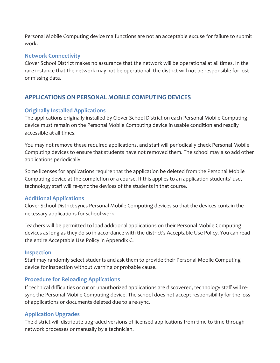Personal Mobile Computing device malfunctions are not an acceptable excuse for failure to submit work.

## **Network Connectivity**

Clover School District makes no assurance that the network will be operational at all times. In the rare instance that the network may not be operational, the district will not be responsible for lost or missing data.

# **APPLICATIONS ON PERSONAL MOBILE COMPUTING DEVICES**

# **Originally Installed Applications**

The applications originally installed by Clover School District on each Personal Mobile Computing device must remain on the Personal Mobile Computing device in usable condition and readily accessible at all times.

You may not remove these required applications, and staff will periodically check Personal Mobile Computing devices to ensure that students have not removed them. The school may also add other applications periodically.

Some licenses for applications require that the application be deleted from the Personal Mobile Computing device at the completion of a course. If this applies to an application students' use, technology staff will re-sync the devices of the students in that course.

# **Additional Applications**

Clover School District syncs Personal Mobile Computing devices so that the devices contain the necessary applications for school work.

Teachers will be permitted to load additional applications on their Personal Mobile Computing devices as long as they do so in accordance with the district's Acceptable Use Policy. You can read the entire Acceptable Use Policy in Appendix C.

#### **Inspection**

Staff may randomly select students and ask them to provide their Personal Mobile Computing device for inspection without warning or probable cause.

#### **Procedure for Reloading Applications**

If technical difficulties occur or unauthorized applications are discovered, technology staff will resync the Personal Mobile Computing device. The school does not accept responsibility for the loss of applications or documents deleted due to a re-sync.

#### **Application Upgrades**

The district will distribute upgraded versions of licensed applications from time to time through network processes or manually by a technician.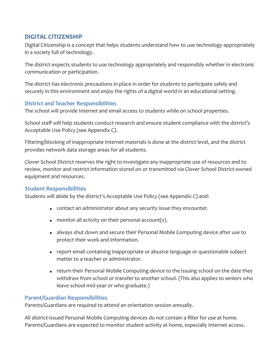# **DIGITAL CITIZENSHIP**

Digital Citizenship is a concept that helps students understand how to use technology appropriately in a society full of technology.

The district expects students to use technology appropriately and responsibly whether in electronic communication or participation.

The district has electronic precautions in place in order for students to participate safely and securely in this environment and enjoy the rights of a digital world in an educational setting.

#### **District and Teacher Responsibilities**

The school will provide Internet and email access to students while on school properties.

School staff will help students conduct research and ensure student compliance with the district's Acceptable Use Policy (see Appendix C).

Filtering/blocking of inappropriate Internet materials is done at the district level, and the district provides network data storage areas for all students.

Clover School District reserves the right to investigate any inappropriate use of resources and to review, monitor and restrict information stored on or transmitted via Clover School District-owned equipment and resources.

#### **Student Responsibilities**

Students will abide by the district's Acceptable Use Policy (see Appendix C) and:

- contact an administrator about any security issue they encounter.
- **n** monitor all activity on their personal account(s).
- **EXECUTE:** always shut down and secure their Personal Mobile Computing device after use to protect their work and information.
- report email containing inappropriate or abusive language or questionable subject matter to a teacher or administrator.
- return their Personal Mobile Computing device to the issuing school on the date they withdraw from school or transfer to another school. (This also applies to seniors who leave school mid-year or who graduate.)

#### **Parent/Guardian Responsibilities**

Parents/Guardians are required to attend an orientation session annually.

All district-issued Personal Mobile Computing devices do not contain a filter for use at home. Parents/Guardians are expected to monitor student activity at home, especially Internet access.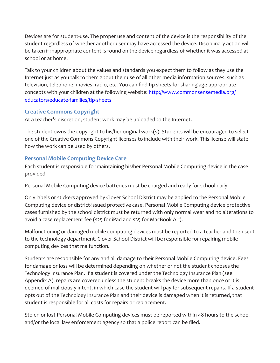Devices are for student-use. The proper use and content of the device is the responsibility of the student regardless of whether another user may have accessed the device. Disciplinary action will be taken if inappropriate content is found on the device regardless of whether it was accessed at school or at home.

Talk to your children about the values and standards you expect them to follow as they use the Internet just as you talk to them about their use of all other media information sources, such as television, telephone, movies, radio, etc. You can find tip sheets for sharing age-appropriate concepts with your children at the following website: http://www.commonsensemedia.org/ educators/educate-families/tip-sheets

### **Creative Commons Copyright**

At a teacher's discretion, student work may be uploaded to the Internet.

The student owns the copyright to his/her original work(s). Students will be encouraged to select one of the Creative Commons Copyright licenses to include with their work. This license will state how the work can be used by others.

# **Personal Mobile Computing Device Care**

Each student is responsible for maintaining his/her Personal Mobile Computing device in the case provided.

Personal Mobile Computing device batteries must be charged and ready for school daily.

Only labels or stickers approved by Clover School District may be applied to the Personal Mobile Computing device or district-issued protective case. Personal Mobile Computing device protective cases furnished by the school district must be returned with only normal wear and no alterations to avoid a case replacement fee (\$25 for iPad and \$35 for MacBook Air).

Malfunctioning or damaged mobile computing devices must be reported to a teacher and then sent to the technology department. Clover School District will be responsible for repairing mobile computing devices that malfunction.

Students are responsible for any and all damage to their Personal Mobile Computing device. Fees for damage or loss will be determined depending on whether or not the student chooses the Technology Insurance Plan. If a student is covered under the Technology Insurance Plan (see Appendix A), repairs are covered unless the student breaks the device more than once or it is deemed of maliciously intent, in which case the student will pay for subsequent repairs. If a student opts out of the Technology Insurance Plan and their device is damaged when it is returned, that student is responsible for all costs for repairs or replacement.

Stolen or lost Personal Mobile Computing devices must be reported within 48 hours to the school and/or the local law enforcement agency so that a police report can be filed.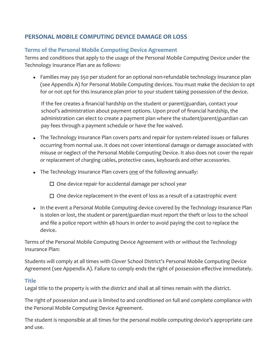# **PERSONAL MOBILE COMPUTING DEVICE DAMAGE OR LOSS**

# **Terms of the Personal Mobile Computing Device Agreement**

Terms and conditions that apply to the usage of the Personal Mobile Computing Device under the Technology Insurance Plan are as follows:

**EXECT Families may pay \$50 per student for an optional non-refundable technology insurance plan** (see Appendix A) for Personal Mobile Computing devices. You must make the decision to opt for or not opt for this insurance plan prior to your student taking possession of the device.

If the fee creates a financial hardship on the student or parent/guardian, contact your school's administration about payment options. Upon proof of financial hardship, the administration can elect to create a payment plan where the student/parent/guardian can pay fees through a payment schedule or have the fee waived.

- The Technology Insurance Plan covers parts and repair for system-related issues or failures occurring from normal use. It does not cover intentional damage or damage associated with misuse or neglect of the Personal Mobile Computing Device. It also does not cover the repair or replacement of charging cables, protective cases, keyboards and other accessories.
- **The Technology Insurance Plan covers one of the following annually:** 
	- $\Box$  One device repair for accidental damage per school year
	- $\Box$  One device replacement in the event of loss as a result of a catastrophic event
- **EXECOM** In the event a Personal Mobile Computing device covered by the Technology Insurance Plan is stolen or lost, the student or parent/guardian must report the theft or loss to the school and file a police report within 48 hours in order to avoid paying the cost to replace the device.

Terms of the Personal Mobile Computing Device Agreement with or without the Technology Insurance Plan: 

Students will comply at all times with Clover School District's Personal Mobile Computing Device Agreement (see Appendix A). Failure to comply ends the right of possession effective immediately.

#### **Title**

Legal title to the property is with the district and shall at all times remain with the district.

The right of possession and use is limited to and conditioned on full and complete compliance with the Personal Mobile Computing Device Agreement.

The student is responsible at all times for the personal mobile computing device's appropriate care and use.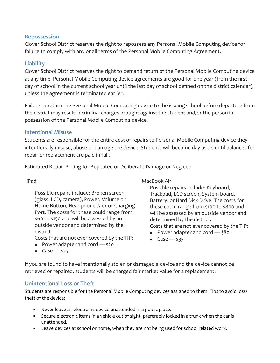#### **Repossession**

Clover School District reserves the right to repossess any Personal Mobile Computing device for failure to comply with any or all terms of the Personal Mobile Computing Agreement.

#### **Liability**

Clover School District reserves the right to demand return of the Personal Mobile Computing device at any time. Personal Mobile Computing device agreements are good for one year (from the first day of school in the current school year until the last day of school defined on the district calendar), unless the agreement is terminated earlier.

Failure to return the Personal Mobile Computing device to the issuing school before departure from the district may result in criminal charges brought against the student and/or the person in possession of the Personal Mobile Computing device.

#### **Intentional Misuse**

Students are responsible for the entire cost of repairs to Personal Mobile Computing device they intentionally misuse, abuse or damage the device. Students will become day users until balances for repair or replacement are paid in full.

Estimated Repair Pricing for Repeated or Deliberate Damage or Neglect:

#### iPad

Possible repairs include: Broken screen (glass, LCD, camera), Power, Volume or Home Button, Headphone Jack or Charging Port. The costs for these could range from \$60 to \$150 and will be assessed by an outside vendor and determined by the district. 

Costs that are not ever covered by the TIP:

- **•** Power adapter and cord  $-$  \$20
- Case  $-$  \$25

#### MacBook Air

Possible repairs include: Keyboard, Trackpad, LCD screen, System board, Battery, or Hard Disk Drive. The costs for these could range from \$100 to \$800 and will be assessed by an outside vendor and determined by the district. Costs that are not ever covered by the TIP:

- Power adapter and cord \$80
- $\overline{\phantom{a}}$  Case  $\overline{\phantom{a}}$  \$35
- 

If you are found to have intentionally stolen or damaged a device and the device cannot be retrieved or repaired, students will be charged fair market value for a replacement.

#### **Unintentional Loss or Theft**

Students are responsible for the Personal Mobile Computing devices assigned to them. Tips to avoid loss/ theft of the device:

- Never leave an electronic device unattended in a public place.
- **EXECUTE:** Secure electronic items in a vehicle out of sight, preferably locked in a trunk when the car is unattended.
- Leave devices at school or home, when they are not being used for school related work.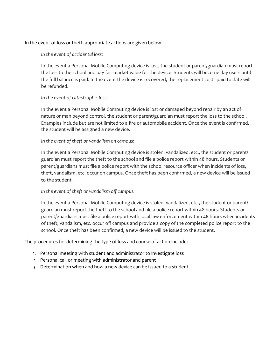In the event of loss or theft, appropriate actions are given below.

In the event of accidental loss:

In the event a Personal Mobile Computing device is lost, the student or parent/guardian must report the loss to the school and pay fair market value for the device. Students will become day users until the full balance is paid. In the event the device is recovered, the replacement costs paid to date will be refunded. 

#### In the event of catastrophic loss:

In the event a Personal Mobile Computing device is lost or damaged beyond repair by an act of nature or man beyond control, the student or parent/guardian must report the loss to the school. Examples include but are not limited to a fire or automobile accident. Once the event is confirmed, the student will be assigned a new device.

#### In the event of theft or vandalism on campus:

In the event a Personal Mobile Computing device is stolen, vandalized, etc., the student or parent/ guardian must report the theft to the school and file a police report within 48 hours. Students or parent/guardians must file a police report with the school resource officer when incidents of loss, theft, vandalism, etc. occur on campus. Once theft has been confirmed, a new device will be issued to the student.

#### In the event of theft or vandalism off campus:

In the event a Personal Mobile Computing device is stolen, vandalized, etc., the student or parent/ guardian must report the theft to the school and file a police report within 48 hours. Students or parent/guardians must file a police report with local law enforcement within 48 hours when incidents of theft, vandalism, etc. occur off campus and provide a copy of the completed police report to the school. Once theft has been confirmed, a new device will be issued to the student.

The procedures for determining the type of loss and course of action include:

- 1. Personal meeting with student and administrator to investigate loss
- 2. Personal call or meeting with administrator and parent
- 3. Determination when and how a new device can be issued to a student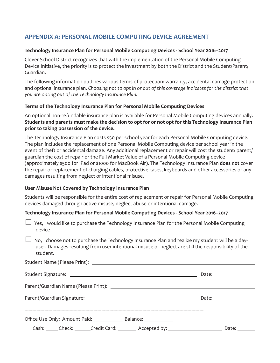# **APPENDIX A: PERSONAL MOBILE COMPUTING DEVICE AGREEMENT**

#### Technology Insurance Plan for Personal Mobile Computing Devices - School Year 2016-2017

Clover School District recognizes that with the implementation of the Personal Mobile Computing Device Initiative, the priority is to protect the investment by both the District and the Student/Parent/ Guardian.

The following information outlines various terms of protection: warranty, accidental damage protection and optional insurance plan. Choosing not to opt in or out of this coverage indicates for the district that you are opting out of the Technology Insurance Plan.

#### **Terms of the Technology Insurance Plan for Personal Mobile Computing Devices**

An optional non-refundable insurance plan is available for Personal Mobile Computing devices annually. Students and parents must make the decision to opt for or not opt for this Technology Insurance Plan prior to taking possession of the device.

The Technology Insurance Plan costs \$50 per school year for each Personal Mobile Computing device. The plan includes the replacement of one Personal Mobile Computing device per school year in the event of theft or accidental damage. Any additional replacement or repair will cost the student/ parent/ guardian the cost of repair or the Full Market Value of a Personal Mobile Computing device (approximately \$500 for iPad or \$1000 for MacBook Air). The Technology Insurance Plan **does not** cover the repair or replacement of charging cables, protective cases, keyboards and other accessories or any damages resulting from neglect or intentional misuse.

#### **User Misuse Not Covered by Technology Insurance Plan**

Students will be responsible for the entire cost of replacement or repair for Personal Mobile Computing devices damaged through active misuse, neglect abuse or intentional damage.

#### Technology Insurance Plan for Personal Mobile Computing Devices - School Year 2016-2017

 $\Box$  Yes, I would like to purchase the Technology Insurance Plan for the Personal Mobile Computing device.

 $\Box$  No, I choose not to purchase the Technology Insurance Plan and realize my student will be a dayuser. Damages resulting from user intentional misuse or neglect are still the responsibility of the student.

|  |                                        |                                                                                  | Date: $\qquad \qquad \qquad$ |       |
|--|----------------------------------------|----------------------------------------------------------------------------------|------------------------------|-------|
|  |                                        |                                                                                  |                              |       |
|  | Office Use Only: Amount Paid: Balance: |                                                                                  |                              |       |
|  |                                        | Cash: ______ Check: _______ Credit Card: _________ Accepted by: ________________ |                              | Date: |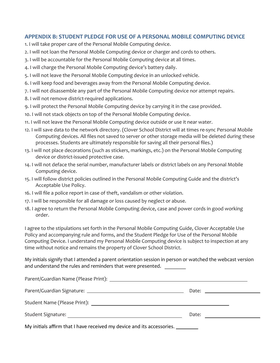#### **APPENDIX B: STUDENT PLEDGE FOR USE OF A PERSONAL MOBILE COMPUTING DEVICE**

- 1. I will take proper care of the Personal Mobile Computing device.
- 2. I will not loan the Personal Mobile Computing device or charger and cords to others.
- 3. I will be accountable for the Personal Mobile Computing device at all times.
- 4. I will charge the Personal Mobile Computing device's battery daily.
- 5. I will not leave the Personal Mobile Computing device in an unlocked vehicle.
- 6. I will keep food and beverages away from the Personal Mobile Computing device.
- 7. I will not disassemble any part of the Personal Mobile Computing device nor attempt repairs.
- 8. I will not remove district-required applications.
- 9. I will protect the Personal Mobile Computing device by carrying it in the case provided.
- 10. I will not stack objects on top of the Personal Mobile Computing device.
- 11. I will not leave the Personal Mobile Computing device outside or use it near water.
- 12. I will save data to the network directory. (Clover School District will at times re-sync Personal Mobile Computing devices. All files not saved to server or other storage media will be deleted during these processes. Students are ultimately responsible for saving all their personal files.)
- 13. I will not place decorations (such as stickers, markings, etc.) on the Personal Mobile Computing device or district-issued protective case.
- 14. I will not deface the serial number, manufacturer labels or district labels on any Personal Mobile Computing device.
- 15. I will follow district policies outlined in the Personal Mobile Computing Guide and the district's Acceptable Use Policy.
- 16. I will file a police report in case of theft, vandalism or other violation.
- 17. I will be responsible for all damage or loss caused by neglect or abuse.
- 18. I agree to return the Personal Mobile Computing device, case and power cords in good working order.

I agree to the stipulations set forth in the Personal Mobile Computing Guide, Clover Acceptable Use Policy and accompanying rule and forms, and the Student Pledge for Use of the Personal Mobile Computing Device. I understand my Personal Mobile Computing device is subject to inspection at any time without notice and remains the property of Clover School District.

My initials signify that I attended a parent orientation session in person or watched the webcast version and understand the rules and reminders that were presented.

|                                                                        |  | Date: $\qquad \qquad$ |  |  |  |
|------------------------------------------------------------------------|--|-----------------------|--|--|--|
| My initials affirm that I have received my device and its accessories. |  |                       |  |  |  |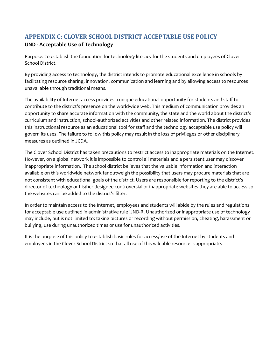# **APPENDIX C: CLOVER SCHOOL DISTRICT ACCEPTABLE USE POLICY**

#### **IJND** - Acceptable Use of Technology

Purpose: To establish the foundation for technology literacy for the students and employees of Clover School District.

By providing access to technology, the district intends to promote educational excellence in schools by facilitating resource sharing, innovation, communication and learning and by allowing access to resources unavailable through traditional means.

The availability of Internet access provides a unique educational opportunity for students and staff to contribute to the district's presence on the worldwide web. This medium of communication provides an opportunity to share accurate information with the community, the state and the world about the district's curriculum and instruction, school-authorized activities and other related information. The district provides this instructional resource as an educational tool for staff and the technology acceptable use policy will govern its uses. The failure to follow this policy may result in the loss of privileges or other disciplinary measures as outlined in JCDA.

The Clover School District has taken precautions to restrict access to inappropriate materials on the Internet. However, on a global network it is impossible to control all materials and a persistent user may discover inappropriate information. The school district believes that the valuable information and interaction available on this worldwide network far outweigh the possibility that users may procure materials that are not consistent with educational goals of the district. Users are responsible for reporting to the district's director of technology or his/her designee controversial or inappropriate websites they are able to access so the websites can be added to the district's filter.

In order to maintain access to the Internet, employees and students will abide by the rules and regulations for acceptable use outlined in administrative rule IJND-R. Unauthorized or inappropriate use of technology may include, but is not limited to: taking pictures or recording without permission, cheating, harassment or bullying, use during unauthorized times or use for unauthorized activities.

It is the purpose of this policy to establish basic rules for access/use of the Internet by students and employees in the Clover School District so that all use of this valuable resource is appropriate.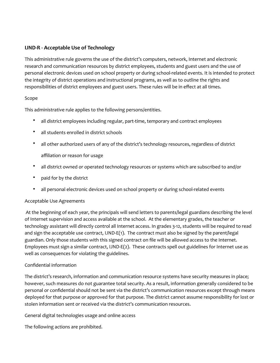#### **IJND-R** - Acceptable Use of Technology

This administrative rule governs the use of the district's computers, network, Internet and electronic research and communication resources by district employees, students and guest users and the use of personal electronic devices used on school property or during school-related events. It is intended to protect the integrity of district operations and instructional programs, as well as to outline the rights and responsibilities of district employees and guest users. These rules will be in effect at all times.

#### Scope

This administrative rule applies to the following persons/entities.

- all district employees including regular, part-time, temporary and contract employees
- all students enrolled in district schools
- all other authorized users of any of the district's technology resources, regardless of district affiliation or reason for usage
- all district owned or operated technology resources or systems which are subscribed to and/or
- paid for by the district
- all personal electronic devices used on school property or during school-related events

#### Acceptable Use Agreements

At the beginning of each year, the principals will send letters to parents/legal guardians describing the level of Internet supervision and access available at the school. At the elementary grades, the teacher or technology assistant will directly control all Internet access. In grades 3-12, students will be required to read and sign the acceptable use contract, IJND-E(1). The contract must also be signed by the parent/legal guardian. Only those students with this signed contract on file will be allowed access to the Internet. Employees must sign a similar contract,  $IJND-E(2)$ . These contracts spell out guidelines for Internet use as well as consequences for violating the guidelines.

#### Confidential information

The district's research, information and communication resource systems have security measures in place; however, such measures do not guarantee total security. As a result, information generally considered to be personal or confidential should not be sent via the district's communication resources except through means deployed for that purpose or approved for that purpose. The district cannot assume responsibility for lost or stolen information sent or received via the district's communication resources.

General digital technologies usage and online access

The following actions are prohibited.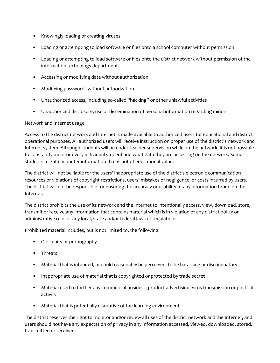- Knowingly loading or creating viruses
- Loading or attempting to load software or files onto a school computer without permission
- Loading or attempting to load software or files onto the district network without permission of the information technology department
- Accessing or modifying data without authorization
- Modifying passwords without authorization
- Unauthorized access, including so-called "hacking" or other unlawful activities
- Unauthorized disclosure, use or dissemination of personal information regarding minors

#### Network and Internet usage

Access to the district network and Internet is made available to authorized users for educational and district operational purposes. All authorized users will receive instruction on proper use of the district's network and Internet system. Although students will be under teacher supervision while on the network, it is not possible to constantly monitor every individual student and what data they are accessing on the network. Some students might encounter information that is not of educational value.

The district will not be liable for the users' inappropriate use of the district's electronic communication resources or violations of copyright restrictions, users' mistakes or negligence, or costs incurred by users. The district will not be responsible for ensuring the accuracy or usability of any information found on the Internet.

The district prohibits the use of its network and the Internet to intentionally access, view, download, store, transmit or receive any information that contains material which is in violation of any district policy or administrative rule, or any local, state and/or federal laws or regulations.

Prohibited material includes, but is not limited to, the following.

- Obscenity or pornography
- Threats
- Material that is intended, or could reasonably be perceived, to be harassing or discriminatory
- Inappropriate use of material that is copyrighted or protected by trade secret
- Material used to further any commercial business, product advertising, virus transmission or political activity
- Material that is potentially disruptive of the learning environment

The district reserves the right to monitor and/or review all uses of the district network and the Internet, and users should not have any expectation of privacy in any information accessed, viewed, downloaded, stored, transmitted or received.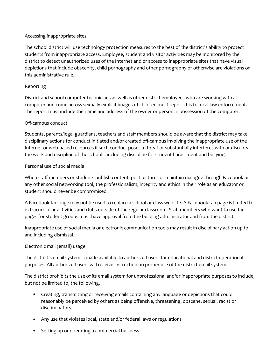#### Accessing inappropriate sites

The school district will use technology protection measures to the best of the district's ability to protect students from inappropriate access. Employee, student and visitor activities may be monitored by the district to detect unauthorized uses of the Internet and or access to inappropriate sites that have visual depictions that include obscenity, child pornography and other pornography or otherwise are violations of this administrative rule.

#### Reporting

District and school computer technicians as well as other district employees who are working with a computer and come across sexually explicit images of children must report this to local law enforcement. The report must include the name and address of the owner or person in possession of the computer.

#### Off-campus conduct

Students, parents/legal guardians, teachers and staff members should be aware that the district may take disciplinary actions for conduct initiated and/or created off-campus involving the inappropriate use of the Internet or web-based resources if such conduct poses a threat or substantially interferes with or disrupts the work and discipline of the schools, including discipline for student harassment and bullying.

#### Personal use of social media

When staff members or students publish content, post pictures or maintain dialogue through Facebook or any other social networking tool, the professionalism, integrity and ethics in their role as an educator or student should never be compromised.

A Facebook fan page may not be used to replace a school or class website. A Facebook fan page is limited to extracurricular activities and clubs outside of the regular classroom. Staff members who want to use fan pages for student groups must have approval from the building administrator and from the district.

Inappropriate use of social media or electronic communication tools may result in disciplinary action up to and including dismissal.

#### Electronic mail (email) usage

The district's email system is made available to authorized users for educational and district operational purposes. All authorized users will receive instruction on proper use of the district email system.

The district prohibits the use of its email system for unprofessional and/or inappropriate purposes to include, but not be limited to, the following.

- Creating, transmitting or receiving emails containing any language or depictions that could reasonably be perceived by others as being offensive, threatening, obscene, sexual, racist or discriminatory
- Any use that violates local, state and/or federal laws or regulations
- Setting up or operating a commercial business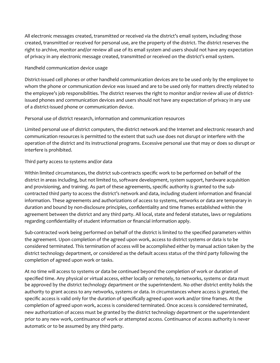All electronic messages created, transmitted or received via the district's email system, including those created, transmitted or received for personal use, are the property of the district. The district reserves the right to archive, monitor and/or review all use of its email system and users should not have any expectation of privacy in any electronic message created, transmitted or received on the district's email system.

#### Handheld communication device usage

District-issued cell phones or other handheld communication devices are to be used only by the employee to whom the phone or communication device was issued and are to be used only for matters directly related to the employee's job responsibilities. The district reserves the right to monitor and/or review all use of districtissued phones and communication devices and users should not have any expectation of privacy in any use of a district-issued phone or communication device.

#### Personal use of district research, information and communication resources

Limited personal use of district computers, the district network and the Internet and electronic research and communication resources is permitted to the extent that such use does not disrupt or interfere with the operation of the district and its instructional programs. Excessive personal use that may or does so disrupt or interfere is prohibited.

#### Third party access to systems and/or data

Within limited circumstances, the district sub-contracts specific work to be performed on behalf of the district in areas including, but not limited to, software development, system support, hardware acquisition and provisioning, and training. As part of these agreements, specific authority is granted to the subcontracted third party to access the district's network and data, including student information and financial information. These agreements and authorizations of access to systems, networks or data are temporary in duration and bound by non-disclosure principles, confidentiality and time frames established within the agreement between the district and any third party. All local, state and federal statutes, laws or regulations regarding confidentiality of student information or financial information apply.

Sub-contracted work being performed on behalf of the district is limited to the specified parameters within the agreement. Upon completion of the agreed upon work, access to district systems or data is to be considered terminated. This termination of access will be accomplished either by manual action taken by the district technology department, or considered as the default access status of the third party following the completion of agreed upon work or tasks.

At no time will access to systems or data be continued beyond the completion of work or duration of specified time. Any physical or virtual access, either locally or remotely, to networks, systems or data must be approved by the district technology department or the superintendent. No other district entity holds the authority to grant access to any networks, systems or data. In circumstances where access is granted, the specific access is valid only for the duration of specifically agreed upon work and/or time frames. At the completion of agreed upon work, access is considered terminated. Once access is considered terminated, new authorization of access must be granted by the district technology department or the superintendent prior to any new work, continuance of work or attempted access. Continuance of access authority is never automatic or to be assumed by any third party.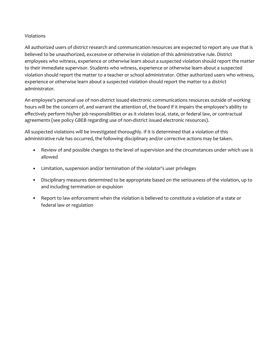#### Violations

All authorized users of district research and communication resources are expected to report any use that is believed to be unauthorized, excessive or otherwise in violation of this administrative rule. District employees who witness, experience or otherwise learn about a suspected violation should report the matter to their immediate supervisor. Students who witness, experience or otherwise learn about a suspected violation should report the matter to a teacher or school administrator. Other authorized users who witness, experience or otherwise learn about a suspected violation should report the matter to a district administrator.

An employee's personal use of non-district issued electronic communications resources outside of working hours will be the concern of, and warrant the attention of, the board if it impairs the employee's ability to effectively perform his/her job responsibilities or as it violates local, state, or federal law, or contractual agreements (see policy GBEB regarding use of non-district issued electronic resources).

All suspected violations will be investigated thoroughly. If it is determined that a violation of this administrative rule has occurred, the following disciplinary and/or corrective actions may be taken.

- Review of and possible changes to the level of supervision and the circumstances under which use is allowed
- Limitation, suspension and/or termination of the violator's user privileges
- Disciplinary measures determined to be appropriate based on the seriousness of the violation, up to and including termination or expulsion
- Report to law enforcement when the violation is believed to constitute a violation of a state or federal law or regulation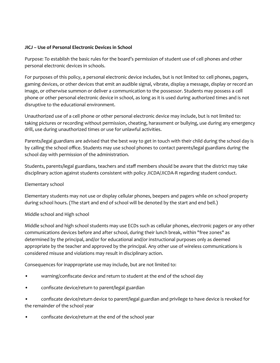#### **JICJ** – Use of Personal Electronic Devices in School

Purpose: To establish the basic rules for the board's permission of student use of cell phones and other personal electronic devices in schools.

For purposes of this policy, a personal electronic device includes, but is not limited to: cell phones, pagers, gaming devices, or other devices that emit an audible signal, vibrate, display a message, display or record an image, or otherwise summon or deliver a communication to the possessor. Students may possess a cell phone or other personal electronic device in school, as long as it is used during authorized times and is not disruptive to the educational environment.

Unauthorized use of a cell phone or other personal electronic device may include, but is not limited to: taking pictures or recording without permission, cheating, harassment or bullying, use during any emergency drill, use during unauthorized times or use for unlawful activities.

Parents/legal guardians are advised that the best way to get in touch with their child during the school day is by calling the school office. Students may use school phones to contact parents/legal guardians during the school day with permission of the administration.

Students, parents/legal guardians, teachers and staff members should be aware that the district may take disciplinary action against students consistent with policy JICDA/JICDA-R regarding student conduct.

#### Elementary school

Elementary students may not use or display cellular phones, beepers and pagers while on school property during school hours. (The start and end of school will be denoted by the start and end bell.)

#### Middle school and High school

Middle school and high school students may use ECDs such as cellular phones, electronic pagers or any other communications devices before and after school, during their lunch break, within "free zones" as determined by the principal, and/or for educational and/or instructional purposes only as deemed appropriate by the teacher and approved by the principal. Any other use of wireless communications is considered misuse and violations may result in disciplinary action.

Consequences for inappropriate use may include, but are not limited to:

- warning/confiscate device and return to student at the end of the school day
- confiscate device/return to parent/legal guardian

confiscate device/return device to parent/legal guardian and privilege to have device is revoked for the remainder of the school year

confiscate device/return at the end of the school year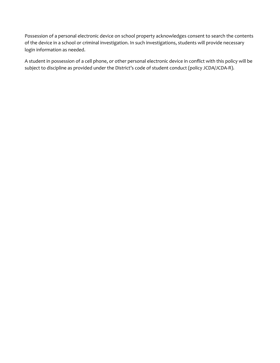Possession of a personal electronic device on school property acknowledges consent to search the contents of the device in a school or criminal investigation. In such investigations, students will provide necessary login information as needed.

A student in possession of a cell phone, or other personal electronic device in conflict with this policy will be subject to discipline as provided under the District's code of student conduct (policy JCDA/JCDA-R).